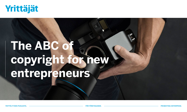

# **The ABC of copyright for new entrepreneurs**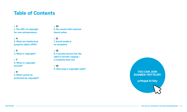# **Table of Contents**

p. **3 1. The ABC of copyright for new entrepreneurs**

p. **4 2. What are intellectual property rights (IPR)?**

p. **5 3. What is copyright?**

p. **7 4. When is copyright formed?**

p. **9 5. What cannot be protected by copyright?** p. **10**

**6. Be careful with material found online**

p. **11 7. Social media is no exception**

p. **12 8. A private person has the right to private copying – a company does not**

p. **14 9. How long is copyright valid?**

**YOU CAN JOIN SUOMEN YRITTÄJÄT: [yrittajat.fi/liity](https://www.yrittajat.fi/en/liity)**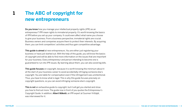## **The ABC of copyright for new entrepreneurs 1**

Do you know how you manage your intellectual property rights (IPR) as an entrepreneur? IPR mean rights to immaterial property. It's worth knowing the basics of IPR before you set up your company. It could even affect what name you choose to give your business. From a business perspective, immaterial rights are crucial. Business owners and companies acquire them to protect their interests. By acquiring them, you can limit competitors' activities and thus gain competitive advantage.

This guide is aimed at new entrepreneurs. You are either just registering your business or have just started out. With the help of this guide, you will know the basics of copyright and will be able to find more information on the issues that are important for your business. Every entrepreneur and person intending to become one is guaranteed to run into IPR issues. By learning about them, you can also avoid big bills.

This guide focuses on copyright, because it is worth knowing the minimum about it at the start of your business career to avoid accidentally infringing someone else's copyright. You are liable for compensation even if the infringement was unintentional. Thus, you have to know what is legal. This is why this guide focuses precisely on copyright questions, so you can avoid infringing someone else's copyright.

This is not an exhaustive guide to copyright, but it will get you started and show you how to find out more. The guide now in front of you quotes the Entrepreneur's Copyright Guide. In addition, Albert Mäkelä, an IPR expert at Suomen Yrittäjät, was interviewed for it.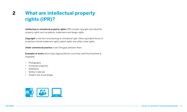# **2 What are intellectual property rights (IPR)?**

Intellectual or immaterial property rights (IPR) include copyright and industrial property rights such as patents, trademarks and design rights.

Copyright is one form of protecting an immaterial right. Other equivalent forms of protection include trademark rights, patent rights and utility model rights.

Unfair commercial practice covers the gaps between them.

Examples of works which enjoy legal protection once they meet the threshold of originality:

- Photographs
- Computer programs
- Databases
- Written materials
- Graphic and visual design

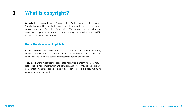# **3 What is copyright?**

Copyright is an essential part of every business's strategy and business plan. The rights enjoyed by copyrighted works, and the protection of them, can form a considerable share of a business's operations. The management, protection and defence of copyright demands an active and strategic approach to guarding IPR. Copyright protects creative work.

### **Know the risks – avoid pitfalls**

In their activities, businesses often also use protected works created by others, such as written materials, music and audio-visual material. Businesses need to know the contractual and permit contracts that pertain to such use.

They also have to recognize the associated risks. Copyright infringement may lead to liability for compensation and penalties. A business may be liable to pay compensation and face penalties even if it acted in error – this is not a mitigating circumstance in copyright.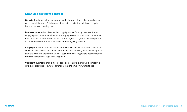### **Draw up a copyright contract**

Copyright belongs to the person who made the work, that is, the natural person who created the work. This is one of the most important principles of copyright law and the associated system.

Business owners should remember copyright when forming partnerships and engaging subcontractors. When a company signs contracts with subcontractors, freelancers or other external partners, it must agree on rights on a case-by-case basis with due consideration for each contracting party's needs.

Copyright is not automatically transferred from its holder, rather the transfer of copyright must always be agreed. It is important to explicitly agree on the right to alter the work and the right to transfer copyright. These rights are not transferred from the holder unless specifically agreed.

Copyright questions should also be considered in employment, if a company's employee produces copyrighted material that the employer wants to use.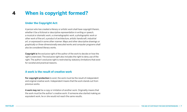# **4 When is copyright formed?**

## **Under the Copyright Act:**

*A person who has created a literary or artistic work shall have copyright therein, whether it be a fictional or descriptive representation in writing or speech, a musical or dramatic work, a cinematographic work, a photographic work or other work of fine art, a product of architecture, artistic handicraft, industrial art, or expressed in some other manner. Maps and other descriptive drawings or graphically or three-dimensionally executed works and computer programs shall also be considered literary works.*

Copyright is the exclusive right of the author of the work to decide on how the right is exercised. The exclusive right also includes the right to deny use of the right. The author's exclusive right is restricted by statutory limitations that exist for societal and practical reasons.

## **A work is the result of creative work**

For copyright protection to exist, the work must be the result of independent and original creative work. Independent means that the work stands out from previous works.

A work may not be a copy or imitation of another work. Originality means that the work must be the author's creative work: if someone else started making an equivalent work, he or she would not reach the same results.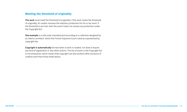### **Meeting the threshold of originality**

The work must meet the threshold of originality. If the work meets the threshold of originality, its creator receives the statutory protection for his or her work. If the threshold is not met, then the work it does not receive any protection under the Copyright Act.

One example is a sofa suite manufactured according to a collection designed by an interior architect, which the Finnish Supreme Court ruled as unprotected by copyright law.

Copyright is automatically formed when a work is created, nor does it require any kind of registration or any other actions. The list of works in the Copyright Act is not exhaustive, which means that copyright can also protect other products of creative work than those listed above.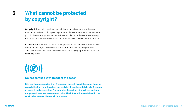## **What cannot be protected by copyright? 5**

Copyright does not cover ideas, principles, information, topics or themes. Anyone can write a book or paint a picture on the same topic as someone in the past. In the same way, anyone can write an article about the same event using the same information and facts that another journalist used to write an article.

In the case of a written or artistic work, protection applies to written or artistic execution, that is, to the choices the author made when creating the work. Thus, information and facts may be used freely; copyright protection does not extend to them.

# $((\oslash)$

#### **Do not confuse with freedom of speech**

**It is worth remembering that freedom of speech is not the same thing as copyright. Copyright law does not restrict the universal rights to freedom of speech and expression. For example, the author of a written work may not prevent another person from using the information contained in the work in her own written work or a review.**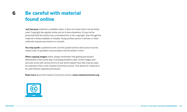## **Be careful with material found online 6**

Just because material is available online, it does not mean that it can be freely used. Copyright law applies online just as it does elsewhere. It may not be presumed that the author has surrendered his or her copyright, even though the material is freely readable or linkable. Using another person's articles or other materials requires permission or consent.

You may quote a published work, but the quoted section and source must be clearly cited. A quotation must properly cite the author's work.

When copying images online, always remember that getting permission beforehand is the surest way of avoiding problems later. Some images and services come with various terms of use which explain how they may be used. An example of this is the Creative Commons licence. This allows for material to be used without separate permission.

Read more about the Creative Commons licence: www.creativecommons.org

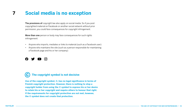# **7 Social media is no exception**

The provisions of copyright law also apply on social media. So if you post copyrighted material on Facebook or another social network without prior permission, you could face consequences for copyright infringement.

More than one person or body may face consequences for such rights infringement:

- Anyone who imports, mediates or links to material (such as a Facebook user)
- Anyone who maintains the site (such as a person responsible for maintaining a Facebook page and his or her company)



# **The copyright symbol is not decisive**

**Use of the copyright symbol, ©, has no legal significance in terms of Finnish copyright protection. However, there is nothing to stop a copyright holder from using the © symbol to express his or her desire to retain his or her copyright and require others to honour that right. If the requirements for copyright protection are not met, however, the © symbol does not create that protection.**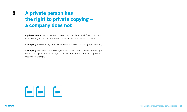# **A private person has the right to private copying – a company does not 8**

A private person may take a few copies from a completed work. This provision is intended only for situations in which the copies are taken for personal use.

A company may not justify its activities with the provision on taking a private copy.

A company must obtain permission, either from the author directly, the copyright holder or a copyright association, to share copies of articles or book chapters at lectures, for example.

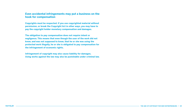#### **Even accidental infringements may put a business on the hook for compensation**

**Copyrights must be respected. If you use copyrighted material without permission, or break the Copyright Act in other ways, you may have to pay the copyright holder monetary compensation and damages.**

**The obligation to pay compensation does not require intent or negligence. This means that even though the user of the work did not know, and was not supposed to know, that he or she was using the protected work illegally, he or she is obligated to pay compensation for the infringement of economic rights.**

**Infringement of copyright may also cause liability for damages. Using works against the law may also be punishable under criminal law.**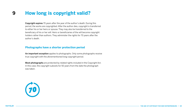# **9 How long is copyright valid?**

Copyright expires 70 years after the year of the author's death. During this period, the works are copyrighted. After the author dies, copyright is transferred to either his or her heirs or spouse. They may also be transferred to the beneficiary of his or her will. Heirs or beneficiaries of the will become copyright holders rather than authors. They administer the rights for 70 years after the author's death.

## **Photographs have a shorter protection period**

An important exception applies to photographs. Only some photographs receive true copyright with the aforementioned long copyright period.

Most photographs are protected by related rights included in the Copyright Act. In this case, the copyright subsists for 50 years from the date the photograph was taken.

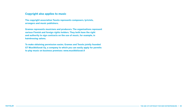#### **Copyright also applies to music**

**The copyright association Teosto represents composers, lyricists, arrangers and music publishers.**

**Gramex represents musicians and producers. The organisations represent various Finnish and foreign rights holders. They both have the right and authority to sign contracts on the use of music, for example, in hairdressing salons.**

**To make obtaining permission easier, Gramex and Teosto jointly founded GT Musiikkiluvat Oy, a company to which you can easily apply for permits to play music on business premises: www.musiikkiluvat.fi**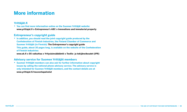# **More information**

## **Yrittäjät.fi**

**• You can find more information online on the Suomen Yrittäjät website: www.yrittajat.fi » Entrepreneur's ABC » Innovations and immaterial property**

## **Entrepreneur's copyright guide**

**• In addition, you should read the joint copyright guide produced by the Confederation of Finnish Industries, the Finland Chamber of Commerce and Suomen Yrittäjät (in Finnish): The Entrepreneur's copyright guide This guide, about 30 pages long, is available on the website of the Confederation of Finnish Industries:**

**www.ek.fi » EK vaikuttaa » Yrityslainsäädäntö » Teollis- ja tekijänoikeudet (IPR)**

## **Advisory service for Suomen Yrittäjät members**

**• Suomen Yrittäjät members can also ask for further information about copyright issues by calling the national phone advisory service. The advisory service is only intended for Suomen Yrittäjät members, and the contact details are at www.yrittajat.fi/neuvontapalvelut**